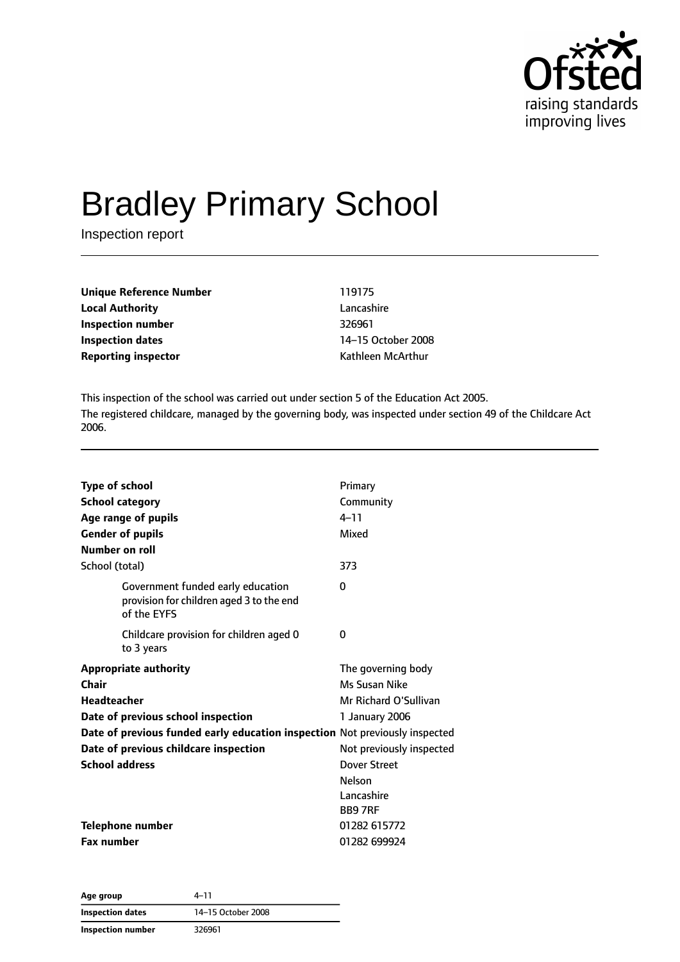

# Bradley Primary School

Inspection report

| Unique Reference Number    | 119175             |
|----------------------------|--------------------|
| Local Authority            | Lancashire         |
| Inspection number          | 326961             |
| Inspection dates           | 14-15 October 2008 |
| <b>Reporting inspector</b> | Kathleen McArthur  |
|                            |                    |

This inspection of the school was carried out under section 5 of the Education Act 2005. The registered childcare, managed by the governing body, was inspected under section 49 of the Childcare Act 2006.

| <b>Type of school</b><br><b>School category</b><br><b>Gender of pupils</b><br>Number on roll | Age range of pupils                                                                          | Primary<br>Community<br>$4 - 11$<br>Mixed                    |
|----------------------------------------------------------------------------------------------|----------------------------------------------------------------------------------------------|--------------------------------------------------------------|
| School (total)                                                                               |                                                                                              | 373                                                          |
|                                                                                              | Government funded early education<br>provision for children aged 3 to the end<br>of the EYFS | $\Omega$                                                     |
|                                                                                              | Childcare provision for children aged 0<br>to 3 years                                        | 0                                                            |
| Chair<br>Headteacher                                                                         | <b>Appropriate authority</b>                                                                 | The governing body<br>Ms Susan Nike<br>Mr Richard O'Sullivan |
| Date of previous school inspection                                                           |                                                                                              | 1 January 2006                                               |
|                                                                                              | Date of previous funded early education inspection Not previously inspected                  |                                                              |
|                                                                                              | Date of previous childcare inspection                                                        | Not previously inspected                                     |
| <b>School address</b>                                                                        |                                                                                              | Dover Street                                                 |
|                                                                                              |                                                                                              | <b>Nelson</b>                                                |
|                                                                                              |                                                                                              | Lancashire                                                   |
|                                                                                              |                                                                                              | <b>BB97RF</b>                                                |
|                                                                                              | <b>Telephone number</b>                                                                      | 01282 615772                                                 |
| <b>Fax number</b>                                                                            |                                                                                              | 01282 699924                                                 |

| Age group               | 4–11               |
|-------------------------|--------------------|
| <b>Inspection dates</b> | 14-15 October 2008 |
| Inspection number       | 326961             |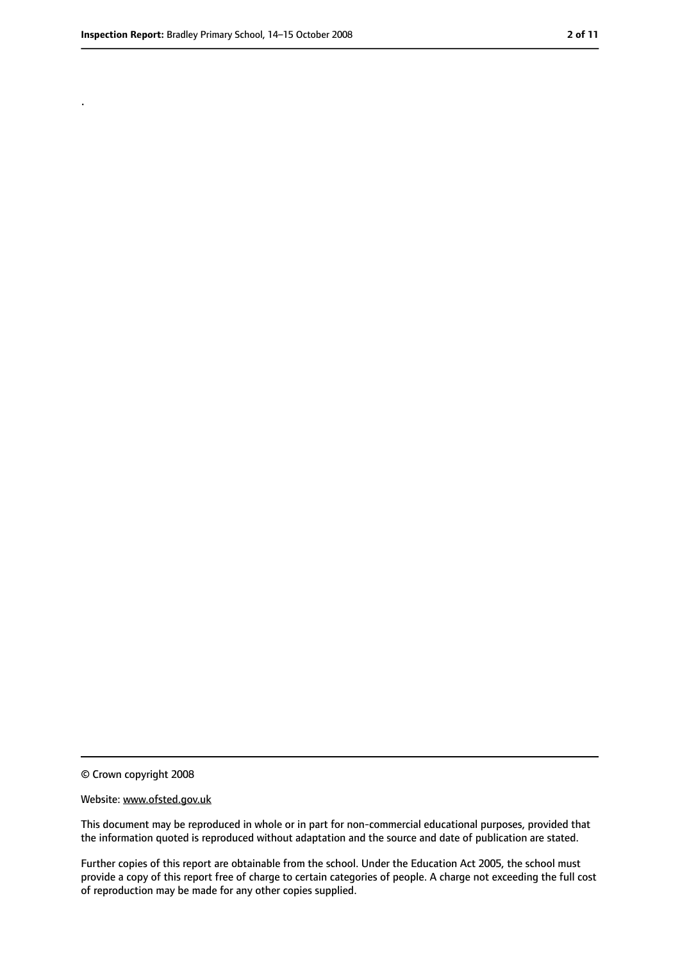.

<sup>©</sup> Crown copyright 2008

Website: www.ofsted.gov.uk

This document may be reproduced in whole or in part for non-commercial educational purposes, provided that the information quoted is reproduced without adaptation and the source and date of publication are stated.

Further copies of this report are obtainable from the school. Under the Education Act 2005, the school must provide a copy of this report free of charge to certain categories of people. A charge not exceeding the full cost of reproduction may be made for any other copies supplied.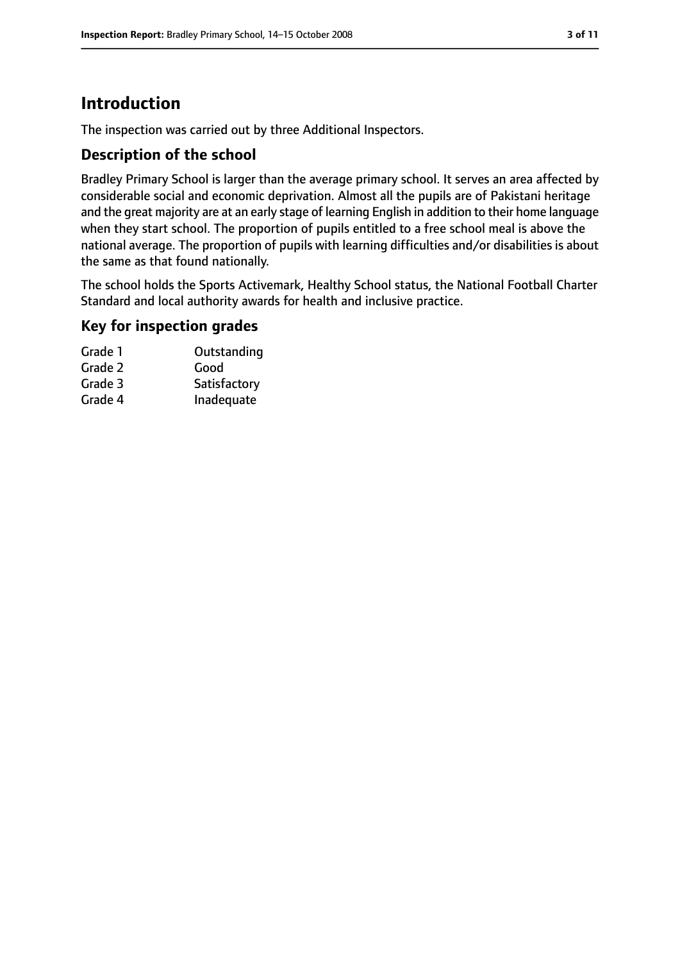# **Introduction**

The inspection was carried out by three Additional Inspectors.

#### **Description of the school**

Bradley Primary School is larger than the average primary school. It serves an area affected by considerable social and economic deprivation. Almost all the pupils are of Pakistani heritage and the great majority are at an early stage of learning English in addition to their home language when they start school. The proportion of pupils entitled to a free school meal is above the national average. The proportion of pupils with learning difficulties and/or disabilities is about the same as that found nationally.

The school holds the Sports Activemark, Healthy School status, the National Football Charter Standard and local authority awards for health and inclusive practice.

#### **Key for inspection grades**

| Grade 1 | Outstanding  |
|---------|--------------|
| Grade 2 | Good         |
| Grade 3 | Satisfactory |
| Grade 4 | Inadequate   |
|         |              |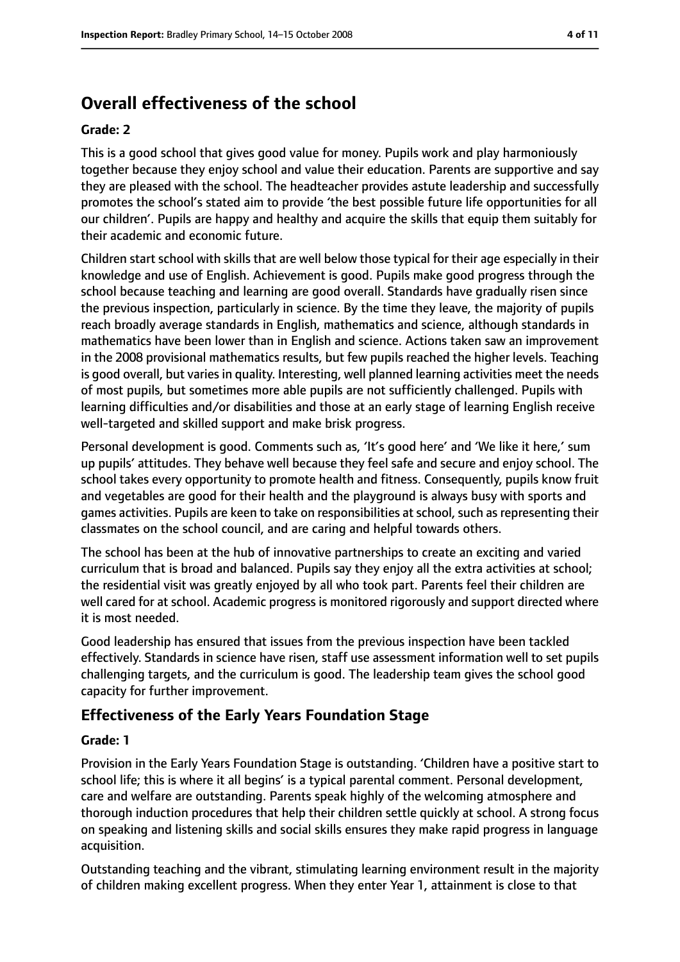# **Overall effectiveness of the school**

#### **Grade: 2**

This is a good school that gives good value for money. Pupils work and play harmoniously together because they enjoy school and value their education. Parents are supportive and say they are pleased with the school. The headteacher provides astute leadership and successfully promotes the school's stated aim to provide 'the best possible future life opportunities for all our children'. Pupils are happy and healthy and acquire the skills that equip them suitably for their academic and economic future.

Children start school with skills that are well below those typical for their age especially in their knowledge and use of English. Achievement is good. Pupils make good progress through the school because teaching and learning are good overall. Standards have gradually risen since the previous inspection, particularly in science. By the time they leave, the majority of pupils reach broadly average standards in English, mathematics and science, although standards in mathematics have been lower than in English and science. Actions taken saw an improvement in the 2008 provisional mathematics results, but few pupils reached the higher levels. Teaching is good overall, but varies in quality. Interesting, well planned learning activities meet the needs of most pupils, but sometimes more able pupils are not sufficiently challenged. Pupils with learning difficulties and/or disabilities and those at an early stage of learning English receive well-targeted and skilled support and make brisk progress.

Personal development is good. Comments such as, 'It's good here' and 'We like it here,' sum up pupils' attitudes. They behave well because they feel safe and secure and enjoy school. The school takes every opportunity to promote health and fitness. Consequently, pupils know fruit and vegetables are good for their health and the playground is always busy with sports and games activities. Pupils are keen to take on responsibilities at school, such as representing their classmates on the school council, and are caring and helpful towards others.

The school has been at the hub of innovative partnerships to create an exciting and varied curriculum that is broad and balanced. Pupils say they enjoy all the extra activities at school; the residential visit was greatly enjoyed by all who took part. Parents feel their children are well cared for at school. Academic progress is monitored rigorously and support directed where it is most needed.

Good leadership has ensured that issues from the previous inspection have been tackled effectively. Standards in science have risen, staff use assessment information well to set pupils challenging targets, and the curriculum is good. The leadership team gives the school good capacity for further improvement.

#### **Effectiveness of the Early Years Foundation Stage**

#### **Grade: 1**

Provision in the Early Years Foundation Stage is outstanding. 'Children have a positive start to school life; this is where it all begins' is a typical parental comment. Personal development, care and welfare are outstanding. Parents speak highly of the welcoming atmosphere and thorough induction procedures that help their children settle quickly at school. A strong focus on speaking and listening skills and social skills ensures they make rapid progress in language acquisition.

Outstanding teaching and the vibrant, stimulating learning environment result in the majority of children making excellent progress. When they enter Year 1, attainment is close to that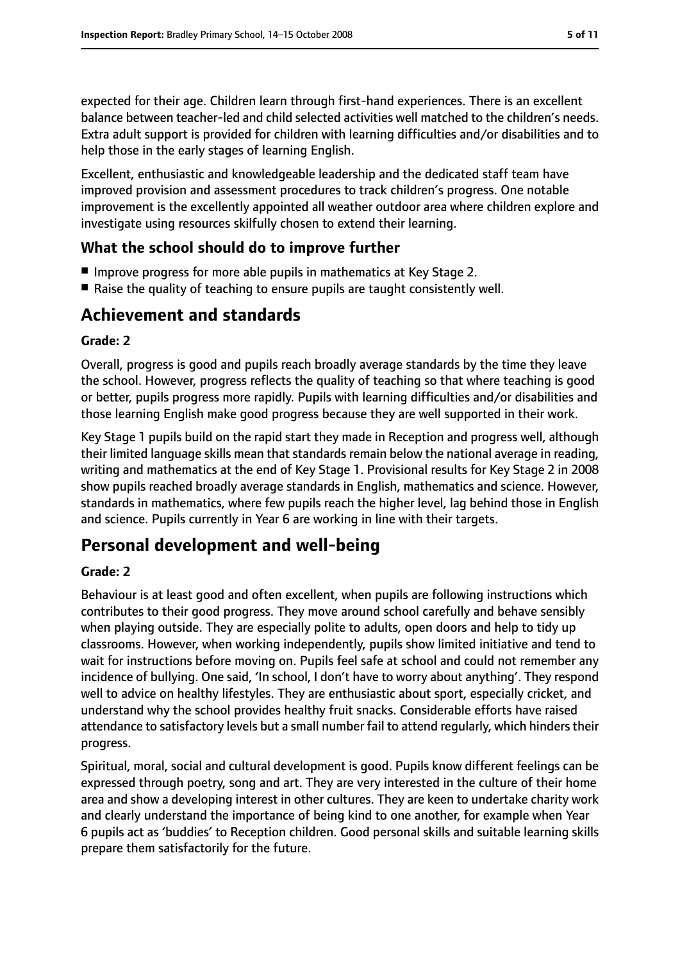expected for their age. Children learn through first-hand experiences. There is an excellent balance between teacher-led and child selected activities well matched to the children's needs. Extra adult support is provided for children with learning difficulties and/or disabilities and to help those in the early stages of learning English.

Excellent, enthusiastic and knowledgeable leadership and the dedicated staff team have improved provision and assessment procedures to track children's progress. One notable improvement is the excellently appointed all weather outdoor area where children explore and investigate using resources skilfully chosen to extend their learning.

#### **What the school should do to improve further**

- Improve progress for more able pupils in mathematics at Key Stage 2.
- Raise the quality of teaching to ensure pupils are taught consistently well.

# **Achievement and standards**

#### **Grade: 2**

Overall, progress is good and pupils reach broadly average standards by the time they leave the school. However, progress reflects the quality of teaching so that where teaching is good or better, pupils progress more rapidly. Pupils with learning difficulties and/or disabilities and those learning English make good progress because they are well supported in their work.

Key Stage 1 pupils build on the rapid start they made in Reception and progress well, although their limited language skills mean that standards remain below the national average in reading, writing and mathematics at the end of Key Stage 1. Provisional results for Key Stage 2 in 2008 show pupils reached broadly average standards in English, mathematics and science. However, standards in mathematics, where few pupils reach the higher level, lag behind those in English and science. Pupils currently in Year 6 are working in line with their targets.

# **Personal development and well-being**

#### **Grade: 2**

Behaviour is at least good and often excellent, when pupils are following instructions which contributes to their good progress. They move around school carefully and behave sensibly when playing outside. They are especially polite to adults, open doors and help to tidy up classrooms. However, when working independently, pupils show limited initiative and tend to wait for instructions before moving on. Pupils feel safe at school and could not remember any incidence of bullying. One said, 'In school, I don't have to worry about anything'. They respond well to advice on healthy lifestyles. They are enthusiastic about sport, especially cricket, and understand why the school provides healthy fruit snacks. Considerable efforts have raised attendance to satisfactory levels but a small number fail to attend regularly, which hinders their progress.

Spiritual, moral, social and cultural development is good. Pupils know different feelings can be expressed through poetry, song and art. They are very interested in the culture of their home area and show a developing interest in other cultures. They are keen to undertake charity work and clearly understand the importance of being kind to one another, for example when Year 6 pupils act as 'buddies' to Reception children. Good personal skills and suitable learning skills prepare them satisfactorily for the future.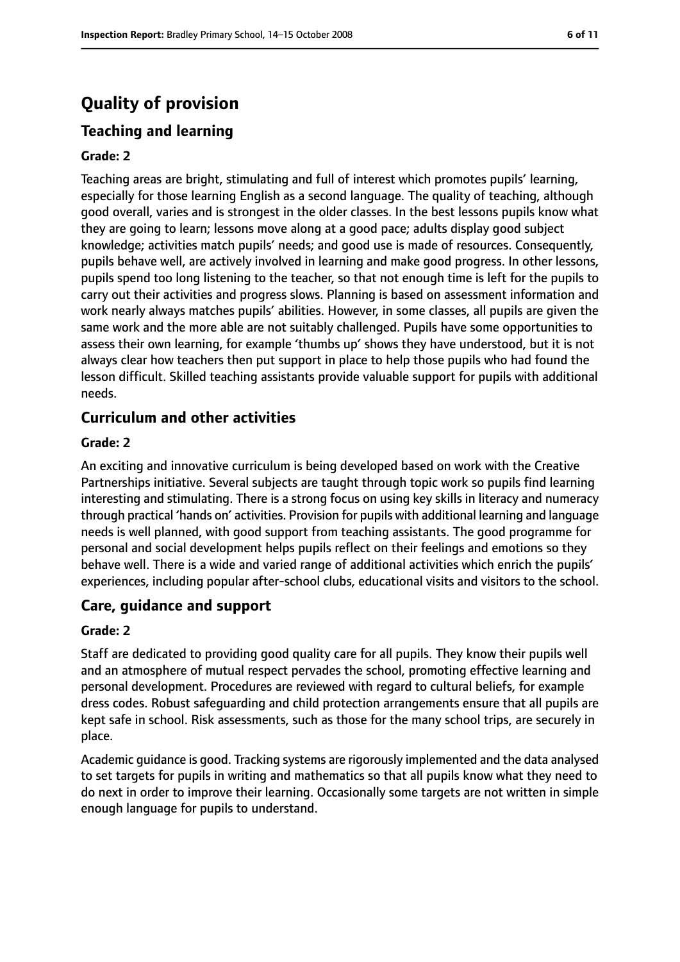# **Quality of provision**

## **Teaching and learning**

#### **Grade: 2**

Teaching areas are bright, stimulating and full of interest which promotes pupils' learning, especially for those learning English as a second language. The quality of teaching, although good overall, varies and is strongest in the older classes. In the best lessons pupils know what they are going to learn; lessons move along at a good pace; adults display good subject knowledge; activities match pupils' needs; and good use is made of resources. Consequently, pupils behave well, are actively involved in learning and make good progress. In other lessons, pupils spend too long listening to the teacher, so that not enough time is left for the pupils to carry out their activities and progress slows. Planning is based on assessment information and work nearly always matches pupils' abilities. However, in some classes, all pupils are given the same work and the more able are not suitably challenged. Pupils have some opportunities to assess their own learning, for example 'thumbs up' shows they have understood, but it is not always clear how teachers then put support in place to help those pupils who had found the lesson difficult. Skilled teaching assistants provide valuable support for pupils with additional needs.

#### **Curriculum and other activities**

#### **Grade: 2**

An exciting and innovative curriculum is being developed based on work with the Creative Partnerships initiative. Several subjects are taught through topic work so pupils find learning interesting and stimulating. There is a strong focus on using key skills in literacy and numeracy through practical 'hands on' activities. Provision for pupils with additional learning and language needs is well planned, with good support from teaching assistants. The good programme for personal and social development helps pupils reflect on their feelings and emotions so they behave well. There is a wide and varied range of additional activities which enrich the pupils' experiences, including popular after-school clubs, educational visits and visitors to the school.

#### **Care, guidance and support**

#### **Grade: 2**

Staff are dedicated to providing good quality care for all pupils. They know their pupils well and an atmosphere of mutual respect pervades the school, promoting effective learning and personal development. Procedures are reviewed with regard to cultural beliefs, for example dress codes. Robust safeguarding and child protection arrangements ensure that all pupils are kept safe in school. Risk assessments, such as those for the many school trips, are securely in place.

Academic guidance is good. Tracking systems are rigorously implemented and the data analysed to set targets for pupils in writing and mathematics so that all pupils know what they need to do next in order to improve their learning. Occasionally some targets are not written in simple enough language for pupils to understand.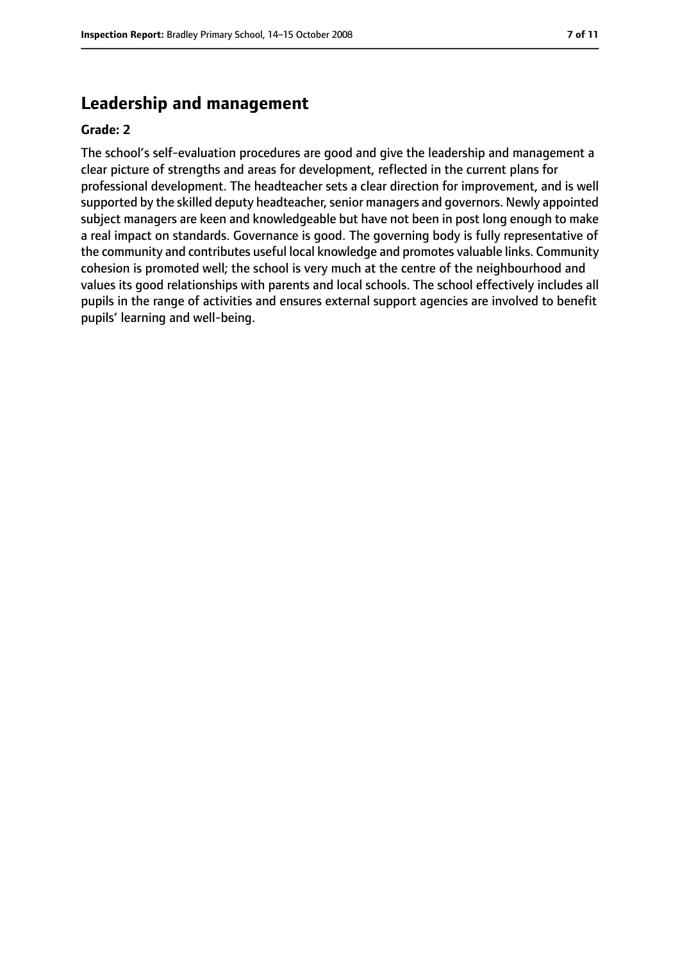#### **Leadership and management**

#### **Grade: 2**

The school's self-evaluation procedures are good and give the leadership and management a clear picture of strengths and areas for development, reflected in the current plans for professional development. The headteacher sets a clear direction for improvement, and is well supported by the skilled deputy headteacher, senior managers and governors. Newly appointed subject managers are keen and knowledgeable but have not been in post long enough to make a real impact on standards. Governance is good. The governing body is fully representative of the community and contributes useful local knowledge and promotes valuable links. Community cohesion is promoted well; the school is very much at the centre of the neighbourhood and values its good relationships with parents and local schools. The school effectively includes all pupils in the range of activities and ensures external support agencies are involved to benefit pupils' learning and well-being.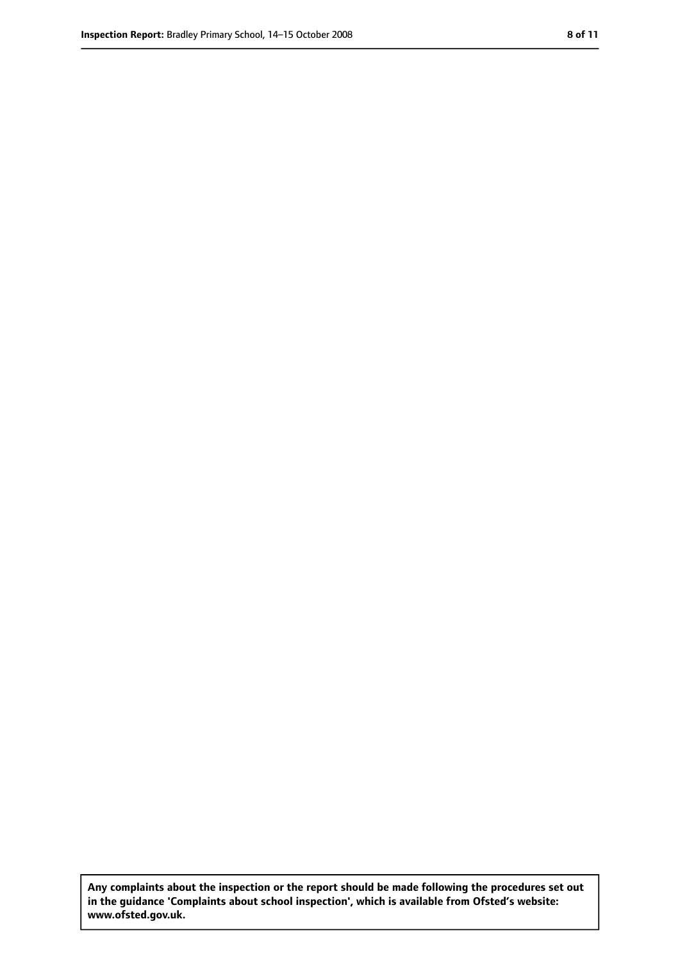**Any complaints about the inspection or the report should be made following the procedures set out in the guidance 'Complaints about school inspection', which is available from Ofsted's website: www.ofsted.gov.uk.**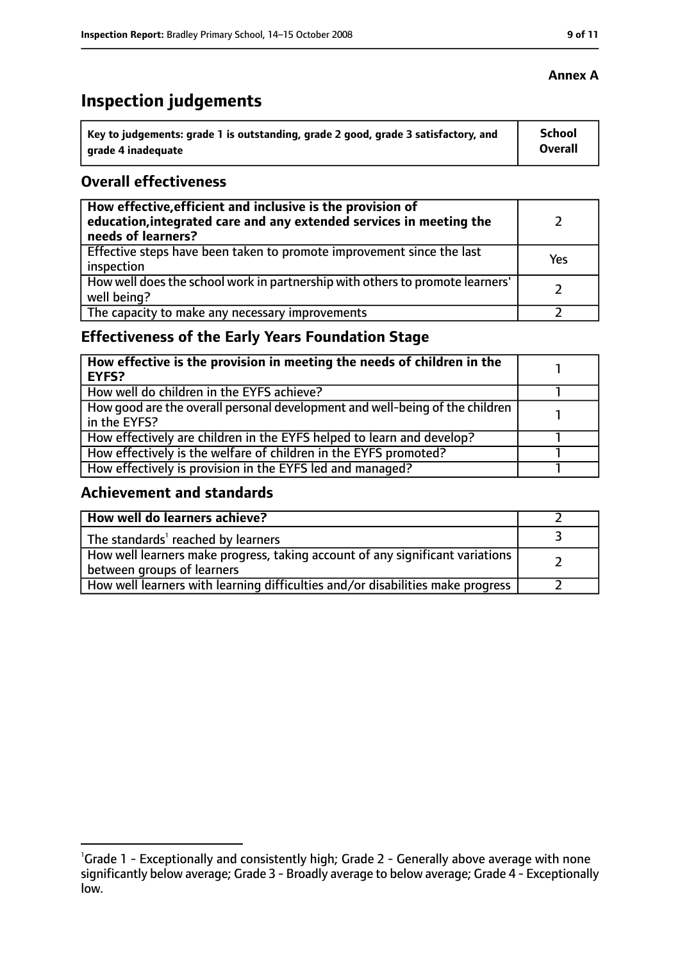# **Inspection judgements**

| \ Key to judgements: grade 1 is outstanding, grade 2 good, grade 3 satisfactory, and | <b>School</b>  |
|--------------------------------------------------------------------------------------|----------------|
| arade 4 inadequate                                                                   | <b>Overall</b> |

#### **Overall effectiveness**

| How effective, efficient and inclusive is the provision of<br>education, integrated care and any extended services in meeting the<br>needs of learners? |     |
|---------------------------------------------------------------------------------------------------------------------------------------------------------|-----|
| Effective steps have been taken to promote improvement since the last<br>inspection                                                                     | Yes |
| How well does the school work in partnership with others to promote learners'<br>well being?                                                            |     |
| The capacity to make any necessary improvements                                                                                                         |     |

# **Effectiveness of the Early Years Foundation Stage**

| How effective is the provision in meeting the needs of children in the<br>l EYFS?            |  |
|----------------------------------------------------------------------------------------------|--|
| How well do children in the EYFS achieve?                                                    |  |
| How good are the overall personal development and well-being of the children<br>in the EYFS? |  |
| How effectively are children in the EYFS helped to learn and develop?                        |  |
| How effectively is the welfare of children in the EYFS promoted?                             |  |
| How effectively is provision in the EYFS led and managed?                                    |  |

#### **Achievement and standards**

| How well do learners achieve?                                                  |  |
|--------------------------------------------------------------------------------|--|
| The standards <sup>1</sup> reached by learners                                 |  |
| How well learners make progress, taking account of any significant variations  |  |
| between groups of learners                                                     |  |
| How well learners with learning difficulties and/or disabilities make progress |  |

#### **Annex A**

<sup>&</sup>lt;sup>1</sup>Grade 1 - Exceptionally and consistently high; Grade 2 - Generally above average with none significantly below average; Grade 3 - Broadly average to below average; Grade 4 - Exceptionally low.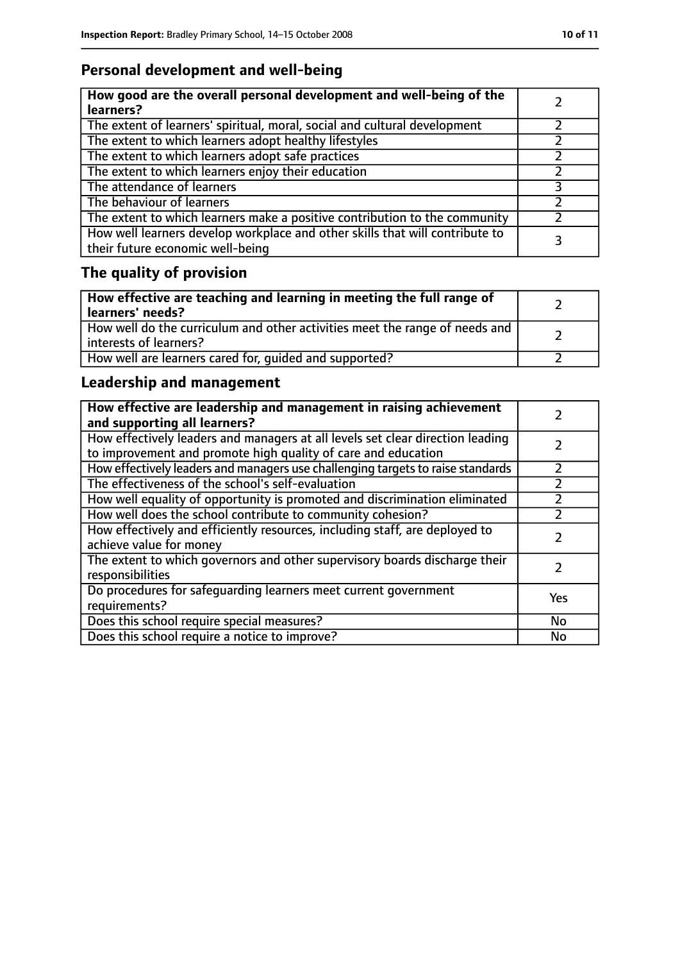# **Personal development and well-being**

| How good are the overall personal development and well-being of the<br>learners?                                 |  |
|------------------------------------------------------------------------------------------------------------------|--|
| The extent of learners' spiritual, moral, social and cultural development                                        |  |
| The extent to which learners adopt healthy lifestyles                                                            |  |
| The extent to which learners adopt safe practices                                                                |  |
| The extent to which learners enjoy their education                                                               |  |
| The attendance of learners                                                                                       |  |
| The behaviour of learners                                                                                        |  |
| The extent to which learners make a positive contribution to the community                                       |  |
| How well learners develop workplace and other skills that will contribute to<br>their future economic well-being |  |

# **The quality of provision**

| How effective are teaching and learning in meeting the full range of<br>learners' needs?              |  |
|-------------------------------------------------------------------------------------------------------|--|
| How well do the curriculum and other activities meet the range of needs and<br>interests of learners? |  |
| How well are learners cared for, quided and supported?                                                |  |

# **Leadership and management**

| How effective are leadership and management in raising achievement<br>and supporting all learners?                                              |     |
|-------------------------------------------------------------------------------------------------------------------------------------------------|-----|
| How effectively leaders and managers at all levels set clear direction leading<br>to improvement and promote high quality of care and education |     |
| How effectively leaders and managers use challenging targets to raise standards                                                                 |     |
| The effectiveness of the school's self-evaluation                                                                                               |     |
| How well equality of opportunity is promoted and discrimination eliminated                                                                      |     |
| How well does the school contribute to community cohesion?                                                                                      |     |
| How effectively and efficiently resources, including staff, are deployed to<br>achieve value for money                                          |     |
| The extent to which governors and other supervisory boards discharge their<br>responsibilities                                                  |     |
| Do procedures for safeguarding learners meet current government<br>requirements?                                                                | Yes |
| Does this school require special measures?                                                                                                      | No  |
| Does this school require a notice to improve?                                                                                                   | No  |